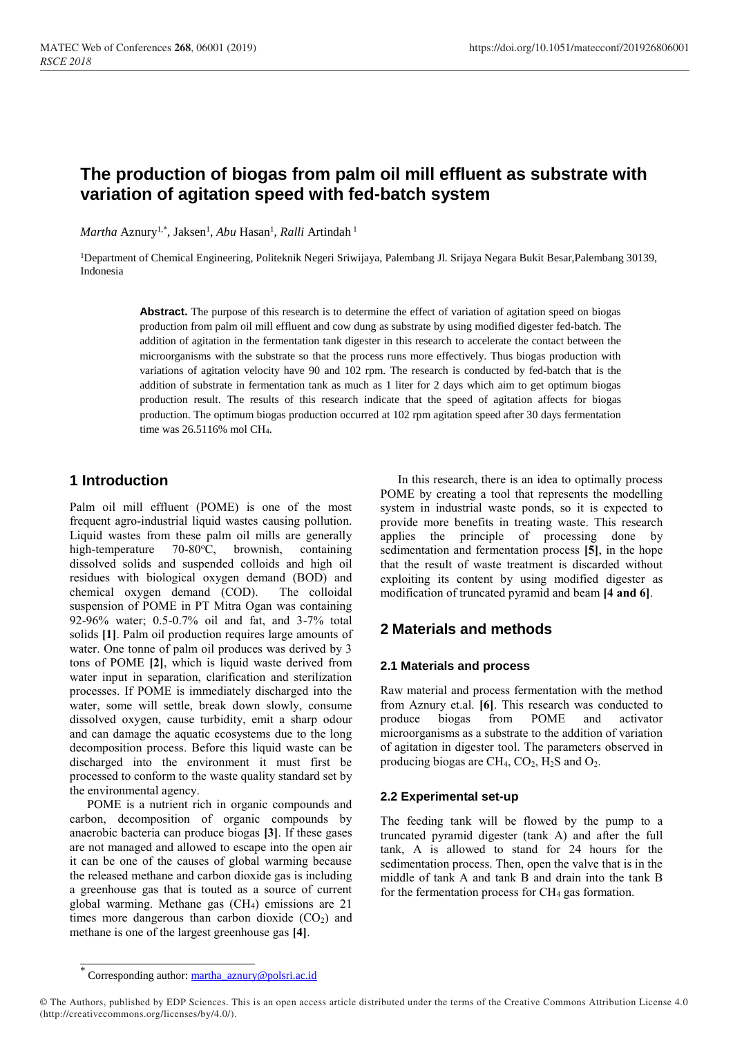# **The production of biogas from palm oil mill effluent as substrate with variation of agitation speed with fed-batch system**

*Martha* Aznury<sup>1,\*</sup>, Jaksen<sup>1</sup>, *Abu* Hasan<sup>1</sup>, *Ralli* Artindah<sup>1</sup>

<sup>1</sup>Department of Chemical Engineering, Politeknik Negeri Sriwijaya, Palembang Jl. Srijaya Negara Bukit Besar,Palembang 30139, Indonesia

> **Abstract.** The purpose of this research is to determine the effect of variation of agitation speed on biogas production from palm oil mill effluent and cow dung as substrate by using modified digester fed-batch. The addition of agitation in the fermentation tank digester in this research to accelerate the contact between the microorganisms with the substrate so that the process runs more effectively. Thus biogas production with variations of agitation velocity have 90 and 102 rpm. The research is conducted by fed-batch that is the addition of substrate in fermentation tank as much as 1 liter for 2 days which aim to get optimum biogas production result. The results of this research indicate that the speed of agitation affects for biogas production. The optimum biogas production occurred at 102 rpm agitation speed after 30 days fermentation time was 26.5116% mol CH4.

# **1 Introduction**

Palm oil mill effluent (POME) is one of the most frequent agro-industrial liquid wastes causing pollution. Liquid wastes from these palm oil mills are generally high-temperature  $70-80^{\circ}$ C, brownish, containing dissolved solids and suspended colloids and high oil residues with biological oxygen demand (BOD) and chemical oxygen demand (COD). The colloidal suspension of POME in PT Mitra Ogan was containing 92-96% water; 0.5-0.7% oil and fat, and 3-7% total solids **[1]**. Palm oil production requires large amounts of water. One tonne of palm oil produces was derived by 3 tons of POME **[2]**, which is liquid waste derived from water input in separation, clarification and sterilization processes. If POME is immediately discharged into the water, some will settle, break down slowly, consume dissolved oxygen, cause turbidity, emit a sharp odour and can damage the aquatic ecosystems due to the long decomposition process. Before this liquid waste can be discharged into the environment it must first be processed to conform to the waste quality standard set by the environmental agency.

POME is a nutrient rich in organic compounds and carbon, decomposition of organic compounds by anaerobic bacteria can produce biogas **[3]**. If these gases are not managed and allowed to escape into the open air it can be one of the causes of global warming because the released methane and carbon dioxide gas is including a greenhouse gas that is touted as a source of current global warming. Methane gas (CH4) emissions are 21 times more dangerous than carbon dioxide  $(CO<sub>2</sub>)$  and methane is one of the largest greenhouse gas **[4]**.

In this research, there is an idea to optimally process POME by creating a tool that represents the modelling system in industrial waste ponds, so it is expected to provide more benefits in treating waste. This research applies the principle of processing done by sedimentation and fermentation process **[5]**, in the hope that the result of waste treatment is discarded without exploiting its content by using modified digester as modification of truncated pyramid and beam **[4 and 6]**.

## **2 Materials and methods**

#### **2.1 Materials and process**

Raw material and process fermentation with the method from Aznury et.al. **[6]**. This research was conducted to produce biogas from POME and activator microorganisms as a substrate to the addition of variation of agitation in digester tool. The parameters observed in producing biogas are  $CH_4$ ,  $CO_2$ ,  $H_2S$  and  $O_2$ .

#### **2.2 Experimental set-up**

The feeding tank will be flowed by the pump to a truncated pyramid digester (tank A) and after the full tank, A is allowed to stand for 24 hours for the sedimentation process. Then, open the valve that is in the middle of tank A and tank B and drain into the tank B for the fermentation process for  $CH<sub>4</sub>$  gas formation.

<sup>\*</sup> Corresponding author: [martha\\_aznury@polsri.ac.id](mailto:martha_aznury@polsri.ac.id)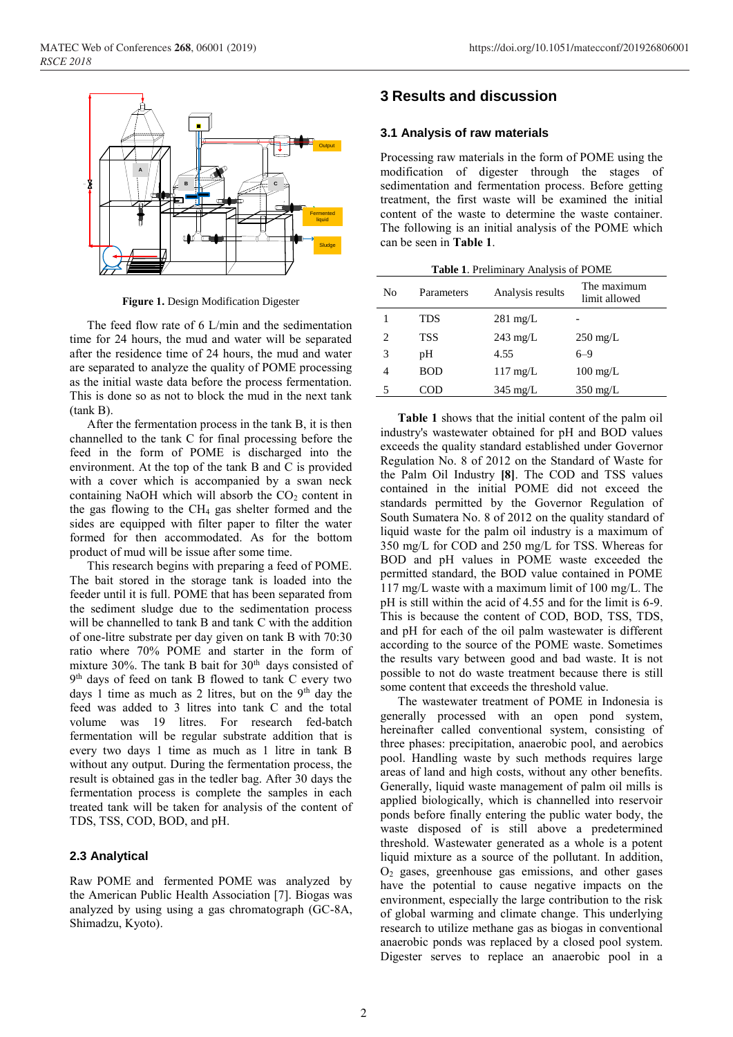

**Figure 1.** Design Modification Digester

The feed flow rate of 6 L/min and the sedimentation time for 24 hours, the mud and water will be separated after the residence time of 24 hours, the mud and water are separated to analyze the quality of POME processing as the initial waste data before the process fermentation. This is done so as not to block the mud in the next tank (tank B).

After the fermentation process in the tank B, it is then channelled to the tank C for final processing before the feed in the form of POME is discharged into the environment. At the top of the tank B and C is provided with a cover which is accompanied by a swan neck containing NaOH which will absorb the  $CO<sub>2</sub>$  content in the gas flowing to the CH<sup>4</sup> gas shelter formed and the sides are equipped with filter paper to filter the water formed for then accommodated. As for the bottom product of mud will be issue after some time.

This research begins with preparing a feed of POME. The bait stored in the storage tank is loaded into the feeder until it is full. POME that has been separated from the sediment sludge due to the sedimentation process will be channelled to tank B and tank C with the addition of one-litre substrate per day given on tank B with 70:30 ratio where 70% POME and starter in the form of mixture 30%. The tank B bait for 30<sup>th</sup> days consisted of 9 th days of feed on tank B flowed to tank C every two days 1 time as much as 2 litres, but on the  $9<sup>th</sup>$  day the feed was added to 3 litres into tank C and the total volume was 19 litres. For research fed-batch fermentation will be regular substrate addition that is every two days 1 time as much as 1 litre in tank B without any output. During the fermentation process, the result is obtained gas in the tedler bag. After 30 days the fermentation process is complete the samples in each treated tank will be taken for analysis of the content of TDS, TSS, COD, BOD, and pH.

#### **2.3 Analytical**

Raw POME and fermented POME was analyzed by the American Public Health Association [7]. Biogas was analyzed by using using a gas chromatograph (GC-8A, Shimadzu, Kyoto).

### **3 Results and discussion**

#### **3.1 Analysis of raw materials**

Processing raw materials in the form of POME using the modification of digester through the stages of sedimentation and fermentation process. Before getting treatment, the first waste will be examined the initial content of the waste to determine the waste container. The following is an initial analysis of the POME which can be seen in **Table 1**.

**Table 1**. Preliminary Analysis of POME

| <b>Table 1.</b> Premiunary Analysis of POME |            |                    |                              |  |  |  |  |
|---------------------------------------------|------------|--------------------|------------------------------|--|--|--|--|
| No                                          | Parameters | Analysis results   | The maximum<br>limit allowed |  |  |  |  |
|                                             | TDS        | $281 \text{ mg/L}$ |                              |  |  |  |  |
| 2                                           | TSS        | $243 \text{ mg/L}$ | $250 \text{ mg/L}$           |  |  |  |  |
| 3                                           | pН         | 4.55               | $6 - 9$                      |  |  |  |  |
| 4                                           | <b>BOD</b> | $117 \text{ mg/L}$ | $100 \text{ mg/L}$           |  |  |  |  |
|                                             | COD        | $345 \text{ mg/L}$ | $350 \text{ mg/L}$           |  |  |  |  |

**Table 1** shows that the initial content of the palm oil industry's wastewater obtained for pH and BOD values exceeds the quality standard established under Governor Regulation No. 8 of 2012 on the Standard of Waste for the Palm Oil Industry **[8]**. The COD and TSS values contained in the initial POME did not exceed the standards permitted by the Governor Regulation of South Sumatera No. 8 of 2012 on the quality standard of liquid waste for the palm oil industry is a maximum of 350 mg/L for COD and 250 mg/L for TSS. Whereas for BOD and pH values in POME waste exceeded the permitted standard, the BOD value contained in POME 117 mg/L waste with a maximum limit of 100 mg/L. The pH is still within the acid of 4.55 and for the limit is 6-9. This is because the content of COD, BOD, TSS, TDS, and pH for each of the oil palm wastewater is different according to the source of the POME waste. Sometimes the results vary between good and bad waste. It is not possible to not do waste treatment because there is still some content that exceeds the threshold value.

The wastewater treatment of POME in Indonesia is generally processed with an open pond system, hereinafter called conventional system, consisting of three phases: precipitation, anaerobic pool, and aerobics pool. Handling waste by such methods requires large areas of land and high costs, without any other benefits. Generally, liquid waste management of palm oil mills is applied biologically, which is channelled into reservoir ponds before finally entering the public water body, the waste disposed of is still above a predetermined threshold. Wastewater generated as a whole is a potent liquid mixture as a source of the pollutant. In addition, O<sup>2</sup> gases, greenhouse gas emissions, and other gases have the potential to cause negative impacts on the environment, especially the large contribution to the risk of global warming and climate change. This underlying research to utilize methane gas as biogas in conventional anaerobic ponds was replaced by a closed pool system. Digester serves to replace an anaerobic pool in a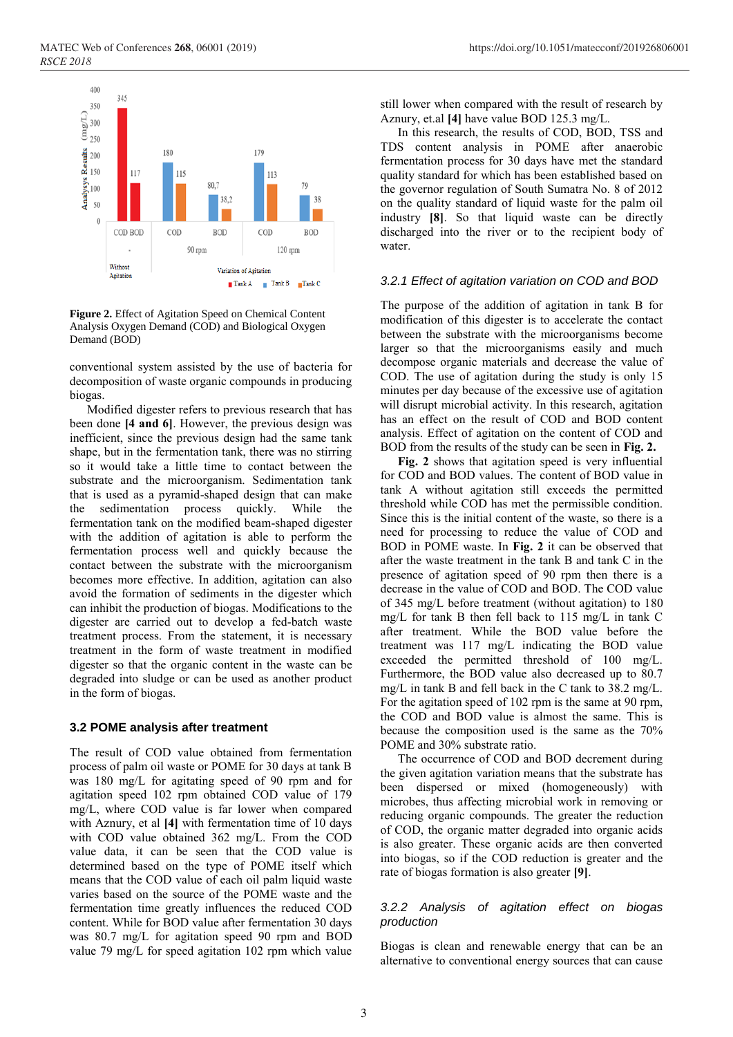Agitation



**Figure 2.** Effect of Agitation Speed on Chemical Content Analysis Oxygen Demand (COD) and Biological Oxygen Demand (BOD)

conventional system assisted by the use of bacteria for decomposition of waste organic compounds in producing biogas.

Variation of Agitation

 $TankB$ 

 $\blacksquare$  Tank C

 $\blacksquare$  Tank A

Modified digester refers to previous research that has been done **[4 and 6]**. However, the previous design was inefficient, since the previous design had the same tank shape, but in the fermentation tank, there was no stirring so it would take a little time to contact between the substrate and the microorganism. Sedimentation tank that is used as a pyramid-shaped design that can make the sedimentation process quickly. While the fermentation tank on the modified beam-shaped digester with the addition of agitation is able to perform the fermentation process well and quickly because the contact between the substrate with the microorganism becomes more effective. In addition, agitation can also avoid the formation of sediments in the digester which can inhibit the production of biogas. Modifications to the digester are carried out to develop a fed-batch waste treatment process. From the statement, it is necessary treatment in the form of waste treatment in modified digester so that the organic content in the waste can be degraded into sludge or can be used as another product in the form of biogas.

#### **3.2 POME analysis after treatment**

The result of COD value obtained from fermentation process of palm oil waste or POME for 30 days at tank B was 180 mg/L for agitating speed of 90 rpm and for agitation speed 102 rpm obtained COD value of 179 mg/L, where COD value is far lower when compared with Aznury, et al **[4]** with fermentation time of 10 days with COD value obtained 362 mg/L. From the COD value data, it can be seen that the COD value is determined based on the type of POME itself which means that the COD value of each oil palm liquid waste varies based on the source of the POME waste and the fermentation time greatly influences the reduced COD content. While for BOD value after fermentation 30 days was 80.7 mg/L for agitation speed 90 rpm and BOD value 79 mg/L for speed agitation 102 rpm which value

still lower when compared with the result of research by Aznury, et.al **[4]** have value BOD 125.3 mg/L.

In this research, the results of COD, BOD, TSS and TDS content analysis in POME after anaerobic fermentation process for 30 days have met the standard quality standard for which has been established based on the governor regulation of South Sumatra No. 8 of 2012 on the quality standard of liquid waste for the palm oil industry **[8]**. So that liquid waste can be directly discharged into the river or to the recipient body of water.

#### *3.2.1 Effect of agitation variation on COD and BOD*

The purpose of the addition of agitation in tank B for modification of this digester is to accelerate the contact between the substrate with the microorganisms become larger so that the microorganisms easily and much decompose organic materials and decrease the value of COD. The use of agitation during the study is only 15 minutes per day because of the excessive use of agitation will disrupt microbial activity. In this research, agitation has an effect on the result of COD and BOD content analysis. Effect of agitation on the content of COD and BOD from the results of the study can be seen in **Fig. 2.**

**Fig. 2** shows that agitation speed is very influential for COD and BOD values. The content of BOD value in tank A without agitation still exceeds the permitted threshold while COD has met the permissible condition. Since this is the initial content of the waste, so there is a need for processing to reduce the value of COD and BOD in POME waste. In **Fig. 2** it can be observed that after the waste treatment in the tank B and tank C in the presence of agitation speed of 90 rpm then there is a decrease in the value of COD and BOD. The COD value of 345 mg/L before treatment (without agitation) to 180 mg/L for tank B then fell back to 115 mg/L in tank C after treatment. While the BOD value before the treatment was 117 mg/L indicating the BOD value exceeded the permitted threshold of 100 mg/L. Furthermore, the BOD value also decreased up to 80.7 mg/L in tank B and fell back in the C tank to 38.2 mg/L. For the agitation speed of 102 rpm is the same at 90 rpm, the COD and BOD value is almost the same. This is because the composition used is the same as the 70% POME and 30% substrate ratio.

The occurrence of COD and BOD decrement during the given agitation variation means that the substrate has been dispersed or mixed (homogeneously) with microbes, thus affecting microbial work in removing or reducing organic compounds. The greater the reduction of COD, the organic matter degraded into organic acids is also greater. These organic acids are then converted into biogas, so if the COD reduction is greater and the rate of biogas formation is also greater **[9]**.

#### *3.2.2 Analysis of agitation effect on biogas production*

Biogas is clean and renewable energy that can be an alternative to conventional energy sources that can cause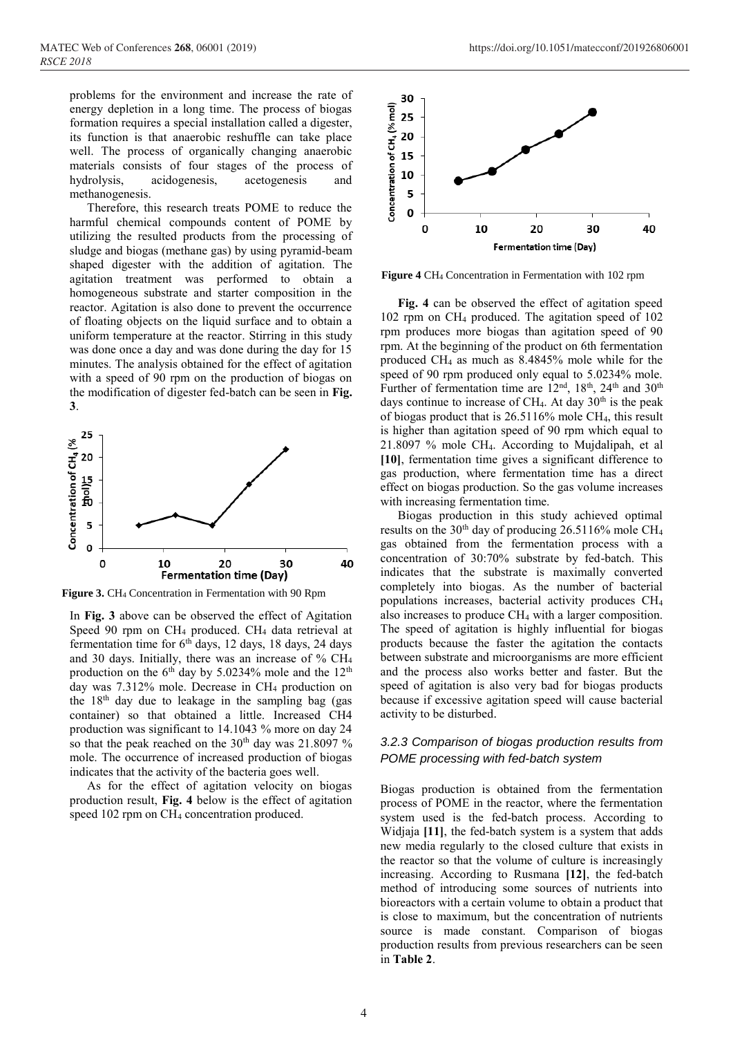problems for the environment and increase the rate of energy depletion in a long time. The process of biogas formation requires a special installation called a digester, its function is that anaerobic reshuffle can take place well. The process of organically changing anaerobic materials consists of four stages of the process of hydrolysis, acidogenesis, acetogenesis and methanogenesis.

Therefore, this research treats POME to reduce the harmful chemical compounds content of POME by utilizing the resulted products from the processing of sludge and biogas (methane gas) by using pyramid-beam shaped digester with the addition of agitation. The agitation treatment was performed to obtain a homogeneous substrate and starter composition in the reactor. Agitation is also done to prevent the occurrence of floating objects on the liquid surface and to obtain a uniform temperature at the reactor. Stirring in this study was done once a day and was done during the day for 15 minutes. The analysis obtained for the effect of agitation with a speed of 90 rpm on the production of biogas on the modification of digester fed-batch can be seen in **Fig. 3**.



**Figure 3.** CH<sup>4</sup> Concentration in Fermentation with 90 Rpm

In **Fig. 3** above can be observed the effect of Agitation Speed 90 rpm on CH<sup>4</sup> produced. CH<sup>4</sup> data retrieval at fermentation time for  $6<sup>th</sup>$  days, 12 days, 18 days, 24 days and 30 days. Initially, there was an increase of % CH<sup>4</sup> production on the  $6<sup>th</sup>$  day by 5.0234% mole and the  $12<sup>th</sup>$ day was 7.312% mole. Decrease in CH<sup>4</sup> production on the  $18<sup>th</sup>$  day due to leakage in the sampling bag (gas container) so that obtained a little. Increased CH4 production was significant to 14.1043 % more on day 24 so that the peak reached on the  $30<sup>th</sup>$  day was 21.8097 % mole. The occurrence of increased production of biogas indicates that the activity of the bacteria goes well.

As for the effect of agitation velocity on biogas production result, **Fig. 4** below is the effect of agitation speed 102 rpm on CH<sup>4</sup> concentration produced.



**Figure 4** CH<sup>4</sup> Concentration in Fermentation with 102 rpm

**Fig. 4** can be observed the effect of agitation speed 102 rpm on CH<sup>4</sup> produced. The agitation speed of 102 rpm produces more biogas than agitation speed of 90 rpm. At the beginning of the product on 6th fermentation produced CH<sup>4</sup> as much as 8.4845% mole while for the speed of 90 rpm produced only equal to 5.0234% mole. Further of fermentation time are  $12<sup>nd</sup>$ ,  $18<sup>th</sup>$ ,  $24<sup>th</sup>$  and  $30<sup>th</sup>$ days continue to increase of CH<sub>4</sub>. At day  $30<sup>th</sup>$  is the peak of biogas product that is 26.5116% mole CH4, this result is higher than agitation speed of 90 rpm which equal to 21.8097 % mole CH4. According to Mujdalipah, et al **[10]**, fermentation time gives a significant difference to gas production, where fermentation time has a direct effect on biogas production. So the gas volume increases with increasing fermentation time.

Biogas production in this study achieved optimal results on the 30th day of producing 26.5116% mole CH<sup>4</sup> gas obtained from the fermentation process with a concentration of 30:70% substrate by fed-batch. This indicates that the substrate is maximally converted completely into biogas. As the number of bacterial populations increases, bacterial activity produces CH<sup>4</sup> also increases to produce CH<sup>4</sup> with a larger composition. The speed of agitation is highly influential for biogas products because the faster the agitation the contacts between substrate and microorganisms are more efficient and the process also works better and faster. But the speed of agitation is also very bad for biogas products because if excessive agitation speed will cause bacterial activity to be disturbed.

#### *3.2.3 Comparison of biogas production results from POME processing with fed-batch system*

Biogas production is obtained from the fermentation process of POME in the reactor, where the fermentation system used is the fed-batch process. According to Widjaja **[11]**, the fed-batch system is a system that adds new media regularly to the closed culture that exists in the reactor so that the volume of culture is increasingly increasing. According to Rusmana **[12]**, the fed-batch method of introducing some sources of nutrients into bioreactors with a certain volume to obtain a product that is close to maximum, but the concentration of nutrients source is made constant. Comparison of biogas production results from previous researchers can be seen in **Table 2**.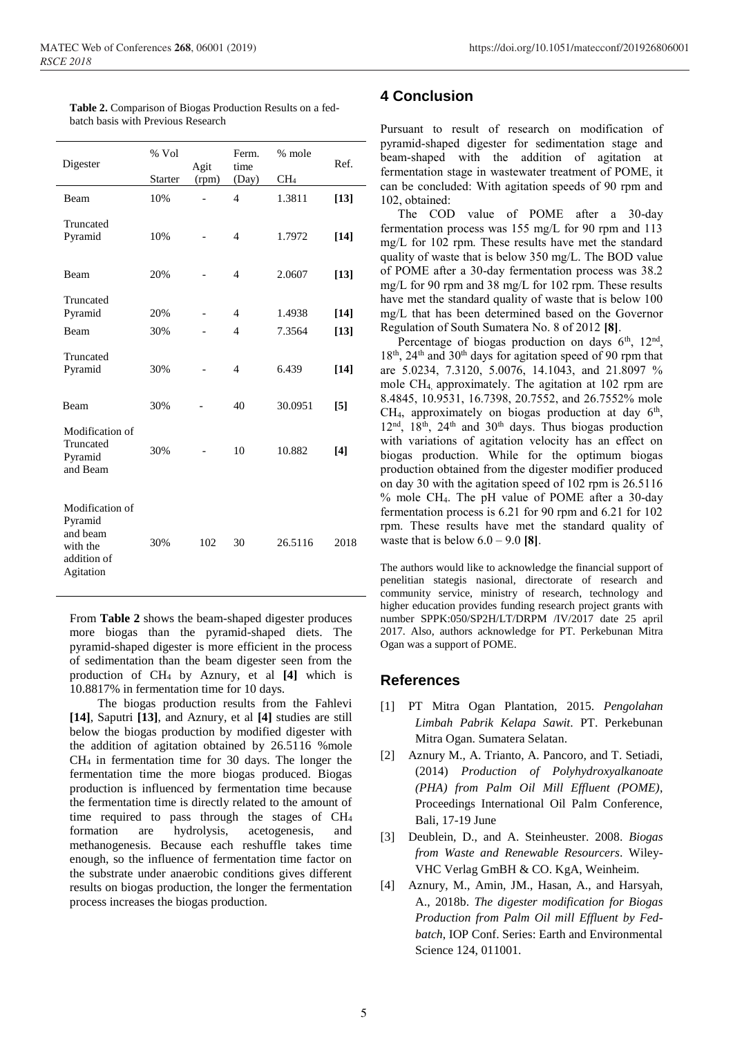| Digester                                                                       | % Vol          | Agit  | Ferm.<br>time                    | % mole           | Ref.             |
|--------------------------------------------------------------------------------|----------------|-------|----------------------------------|------------------|------------------|
|                                                                                | <b>Starter</b> | (rpm) | (Day)                            | CH <sub>4</sub>  |                  |
| Beam                                                                           | 10%            |       | $\overline{4}$                   | 1.3811           | $[13]$           |
| Truncated<br>Pyramid                                                           | 10%            |       | $\overline{4}$                   | 1.7972           | $[14]$           |
| Beam                                                                           | 20%            |       | $\overline{4}$                   | 2.0607           | $[13]$           |
| Truncated<br>Pyramid<br>Beam                                                   | 20%<br>30%     |       | $\overline{4}$<br>$\overline{4}$ | 1.4938<br>7.3564 | $[14]$<br>$[13]$ |
| Truncated<br>Pyramid                                                           | 30%            |       | $\overline{4}$                   | 6.439            | $[14]$           |
| Beam                                                                           | 30%            |       | 40                               | 30.0951          | $[5]$            |
| Modification of<br>Truncated<br>Pyramid<br>and Beam                            | 30%            |       | 10                               | 10.882           | $[4]$            |
| Modification of<br>Pyramid<br>and beam<br>with the<br>addition of<br>Agitation | 30%            | 102   | 30                               | 26.5116          | 2018             |

**Table 2.** Comparison of Biogas Production Results on a fedbatch basis with Previous Research

From **Table 2** shows the beam-shaped digester produces more biogas than the pyramid-shaped diets. The pyramid-shaped digester is more efficient in the process of sedimentation than the beam digester seen from the production of CH<sup>4</sup> by Aznury, et al **[4]** which is 10.8817% in fermentation time for 10 days.

The biogas production results from the Fahlevi **[14]**, Saputri **[13]**, and Aznury, et al **[4]** studies are still below the biogas production by modified digester with the addition of agitation obtained by 26.5116 %mole CH<sup>4</sup> in fermentation time for 30 days. The longer the fermentation time the more biogas produced. Biogas production is influenced by fermentation time because the fermentation time is directly related to the amount of time required to pass through the stages of CH<sup>4</sup> formation are hydrolysis, acetogenesis, and methanogenesis. Because each reshuffle takes time enough, so the influence of fermentation time factor on the substrate under anaerobic conditions gives different results on biogas production, the longer the fermentation process increases the biogas production.

### **4 Conclusion**

Pursuant to result of research on modification of pyramid-shaped digester for sedimentation stage and beam-shaped with the addition of agitation at fermentation stage in wastewater treatment of POME, it can be concluded: With agitation speeds of 90 rpm and 102, obtained:

The COD value of POME after a 30-day fermentation process was 155 mg/L for 90 rpm and 113 mg/L for 102 rpm. These results have met the standard quality of waste that is below 350 mg/L. The BOD value of POME after a 30-day fermentation process was 38.2 mg/L for 90 rpm and 38 mg/L for 102 rpm. These results have met the standard quality of waste that is below 100 mg/L that has been determined based on the Governor Regulation of South Sumatera No. 8 of 2012 **[8]**.

Percentage of biogas production on days  $6<sup>th</sup>$ ,  $12<sup>nd</sup>$ ,  $18<sup>th</sup>$ ,  $24<sup>th</sup>$  and  $30<sup>th</sup>$  days for agitation speed of 90 rpm that are 5.0234, 7.3120, 5.0076, 14.1043, and 21.8097 % mole CH4, approximately. The agitation at 102 rpm are 8.4845, 10.9531, 16.7398, 20.7552, and 26.7552% mole  $CH<sub>4</sub>$ , approximately on biogas production at day  $6<sup>th</sup>$ ,  $12<sup>nd</sup>$ ,  $18<sup>th</sup>$ ,  $24<sup>th</sup>$  and  $30<sup>th</sup>$  days. Thus biogas production with variations of agitation velocity has an effect on biogas production. While for the optimum biogas production obtained from the digester modifier produced on day 30 with the agitation speed of 102 rpm is 26.5116 % mole CH4. The pH value of POME after a 30-day fermentation process is 6.21 for 90 rpm and 6.21 for 102 rpm. These results have met the standard quality of waste that is below 6.0 – 9.0 **[8]**.

The authors would like to acknowledge the financial support of penelitian stategis nasional, directorate of research and community service, ministry of research, technology and higher education provides funding research project grants with number SPPK:050/SP2H/LT/DRPM /IV/2017 date 25 april 2017. Also, authors acknowledge for PT. Perkebunan Mitra Ogan was a support of POME.

### **References**

- [1] PT Mitra Ogan Plantation, 2015. *Pengolahan Limbah Pabrik Kelapa Sawit*. PT. Perkebunan Mitra Ogan. Sumatera Selatan.
- [2] Aznury M., A. Trianto, A. Pancoro, and T. Setiadi, (2014) *Production of Polyhydroxyalkanoate (PHA) from Palm Oil Mill Effluent (POME)*, Proceedings International Oil Palm Conference, Bali, 17-19 June
- [3] Deublein, D., and A. Steinheuster. 2008. *Biogas from Waste and Renewable Resourcers*. Wiley-VHC Verlag GmBH & CO. KgA, Weinheim.
- [4] Aznury, M., Amin, JM., Hasan, A., and Harsyah, A., 2018b. *The digester modification for Biogas Production from Palm Oil mill Effluent by Fedbatch*, IOP Conf. Series: Earth and Environmental Science 124, 011001.